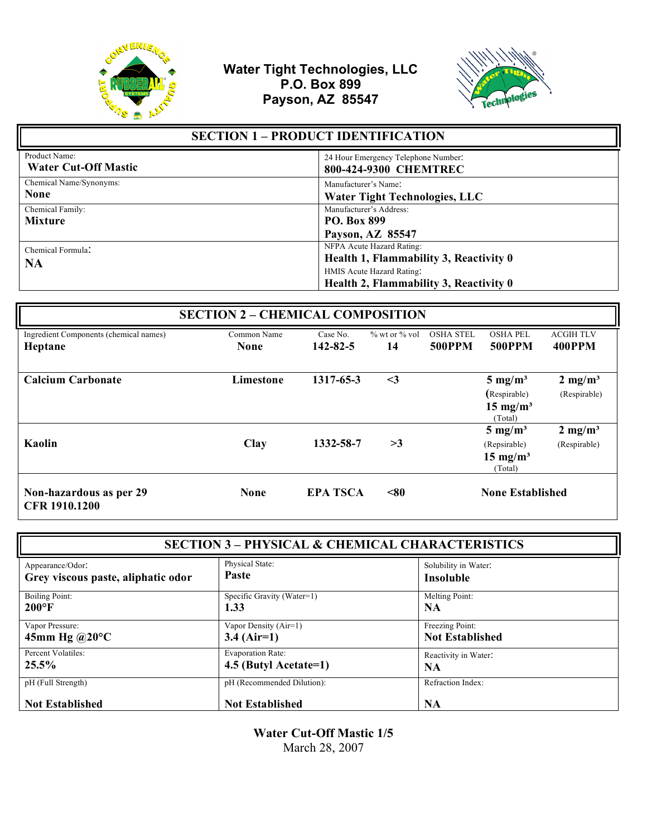



| <b>SECTION 1 - PRODUCT IDENTIFICATION</b>    |                                                                                                                                            |
|----------------------------------------------|--------------------------------------------------------------------------------------------------------------------------------------------|
| Product Name:<br><b>Water Cut-Off Mastic</b> | 24 Hour Emergency Telephone Number:<br>800-424-9300 CHEMTREC                                                                               |
| Chemical Name/Synonyms:<br><b>None</b>       | Manufacturer's Name:<br><b>Water Tight Technologies, LLC</b>                                                                               |
| Chemical Family:<br><b>Mixture</b>           | Manufacturer's Address:<br><b>PO. Box 899</b><br>Payson, AZ 85547                                                                          |
| Chemical Formula:<br><b>NA</b>               | NFPA Acute Hazard Rating:<br>Health 1, Flammability 3, Reactivity 0<br>HMIS Acute Hazard Rating:<br>Health 2, Flammability 3, Reactivity 0 |

| <b>SECTION 2 - CHEMICAL COMPOSITION</b>           |                            |                            |                           |                                   |                                                                      |                                    |
|---------------------------------------------------|----------------------------|----------------------------|---------------------------|-----------------------------------|----------------------------------------------------------------------|------------------------------------|
| Ingredient Components (chemical names)<br>Heptane | Common Name<br><b>None</b> | Case No.<br>$142 - 82 - 5$ | $\%$ wt or $\%$ vol<br>14 | <b>OSHA STEL</b><br><b>500PPM</b> | <b>OSHA PEL</b><br><b>500PPM</b>                                     | <b>ACGIH TLV</b><br><b>400PPM</b>  |
| <b>Calcium Carbonate</b>                          | Limestone                  | 1317-65-3                  | $\leq$ 3                  |                                   | $5 \text{ mg/m}^3$<br>(Respirable)<br>$15 \text{ mg/m}^3$            | $2 \text{ mg/m}^3$<br>(Respirable) |
| Kaolin                                            | <b>Clay</b>                | 1332-58-7                  | >3                        |                                   | (Total)<br>$5 \text{ mg/m}^3$<br>(Repsirable)<br>$15 \text{ mg/m}^3$ | $2 \text{ mg/m}^3$<br>(Respirable) |
| Non-hazardous as per 29<br>CFR 1910.1200          | <b>None</b>                | <b>EPA TSCA</b>            | < 80                      |                                   | (Total)<br><b>None Established</b>                                   |                                    |

| <b>SECTION 3 – PHYSICAL &amp; CHEMICAL CHARACTERISTICS</b> |                            |                        |
|------------------------------------------------------------|----------------------------|------------------------|
| Appearance/Odor:                                           | Physical State:            | Solubility in Water:   |
| Grey viscous paste, aliphatic odor                         | <b>Paste</b>               | <b>Insoluble</b>       |
| Boiling Point:                                             | Specific Gravity (Water=1) | Melting Point:         |
| $200^{\circ}$ F                                            | 1.33                       | NA                     |
| Vapor Pressure:                                            | Vapor Density (Air=1)      | Freezing Point:        |
| 45mm Hg $@20°C$                                            | $3.4$ (Air=1)              | <b>Not Established</b> |
| Percent Volatiles:                                         | <b>Evaporation Rate:</b>   | Reactivity in Water:   |
| 25.5%                                                      | 4.5 (Butyl Acetate=1)      | NA.                    |
| pH (Full Strength)                                         | pH (Recommended Dilution): | Refraction Index:      |
| <b>Not Established</b>                                     | <b>Not Established</b>     | NA                     |

**Water Cut-Off Mastic 1/5** March 28, 2007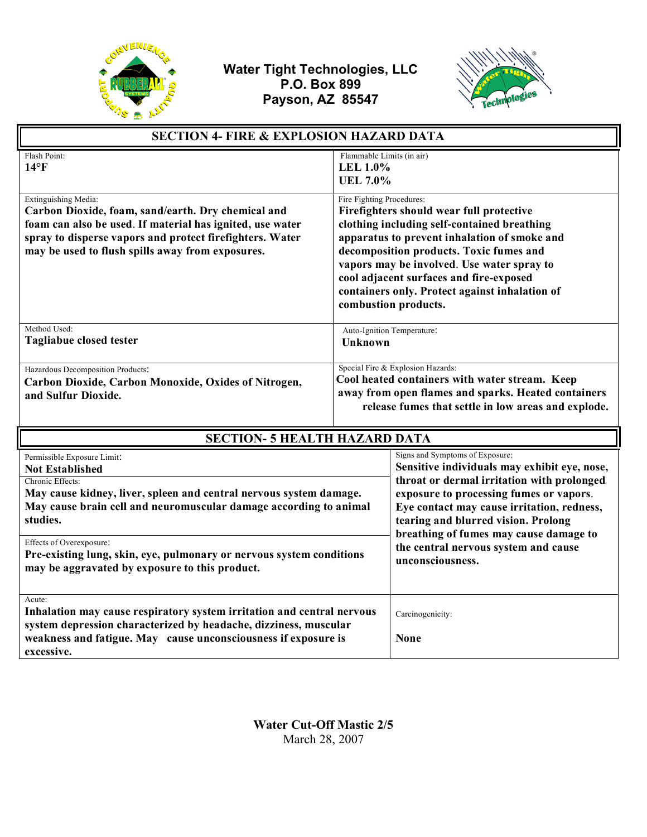



| <b>SECTION 4- FIRE &amp; EXPLOSION HAZARD DATA</b>                                                                                                                                                                                                                                                                                   |                                                                                                                                                                                                   |                                                                                                                                                                                                                                                                                                                                                                     |  |
|--------------------------------------------------------------------------------------------------------------------------------------------------------------------------------------------------------------------------------------------------------------------------------------------------------------------------------------|---------------------------------------------------------------------------------------------------------------------------------------------------------------------------------------------------|---------------------------------------------------------------------------------------------------------------------------------------------------------------------------------------------------------------------------------------------------------------------------------------------------------------------------------------------------------------------|--|
| Flash Point:<br>$14^{\circ}$ F                                                                                                                                                                                                                                                                                                       |                                                                                                                                                                                                   | Flammable Limits (in air)<br><b>LEL 1.0%</b><br><b>UEL 7.0%</b>                                                                                                                                                                                                                                                                                                     |  |
| Extinguishing Media:<br>Carbon Dioxide, foam, sand/earth. Dry chemical and<br>foam can also be used. If material has ignited, use water<br>spray to disperse vapors and protect firefighters. Water<br>may be used to flush spills away from exposures.                                                                              | Fire Fighting Procedures:                                                                                                                                                                         | Firefighters should wear full protective<br>clothing including self-contained breathing<br>apparatus to prevent inhalation of smoke and<br>decomposition products. Toxic fumes and<br>vapors may be involved. Use water spray to<br>cool adjacent surfaces and fire-exposed<br>containers only. Protect against inhalation of<br>combustion products.               |  |
| Method Used:<br><b>Tagliabue closed tester</b>                                                                                                                                                                                                                                                                                       | <b>Unknown</b>                                                                                                                                                                                    | Auto-Ignition Temperature:                                                                                                                                                                                                                                                                                                                                          |  |
| Hazardous Decomposition Products:<br>Carbon Dioxide, Carbon Monoxide, Oxides of Nitrogen,<br>and Sulfur Dioxide.                                                                                                                                                                                                                     | Special Fire & Explosion Hazards:<br>Cool heated containers with water stream. Keep<br>away from open flames and sparks. Heated containers<br>release fumes that settle in low areas and explode. |                                                                                                                                                                                                                                                                                                                                                                     |  |
| <b>SECTION- 5 HEALTH HAZARD DATA</b>                                                                                                                                                                                                                                                                                                 |                                                                                                                                                                                                   |                                                                                                                                                                                                                                                                                                                                                                     |  |
| Permissible Exposure Limit:<br><b>Not Established</b><br>Chronic Effects:<br>May cause kidney, liver, spleen and central nervous system damage.<br>May cause brain cell and neuromuscular damage according to animal<br>studies.<br>Effects of Overexposure:<br>Pre-existing lung, skin, eye, pulmonary or nervous system conditions |                                                                                                                                                                                                   | Signs and Symptoms of Exposure:<br>Sensitive individuals may exhibit eye, nose,<br>throat or dermal irritation with prolonged<br>exposure to processing fumes or vapors.<br>Eye contact may cause irritation, redness,<br>tearing and blurred vision. Prolong<br>breathing of fumes may cause damage to<br>the central nervous system and cause<br>unconsciousness. |  |
| may be aggravated by exposure to this product.<br>Acute:<br>Inhalation may cause respiratory system irritation and central nervous<br>system depression characterized by headache, dizziness, muscular<br>weakness and fatigue. May cause unconsciousness if exposure is                                                             |                                                                                                                                                                                                   | Carcinogenicity:<br><b>None</b>                                                                                                                                                                                                                                                                                                                                     |  |

**Water Cut-Off Mastic 2/5** March 28, 2007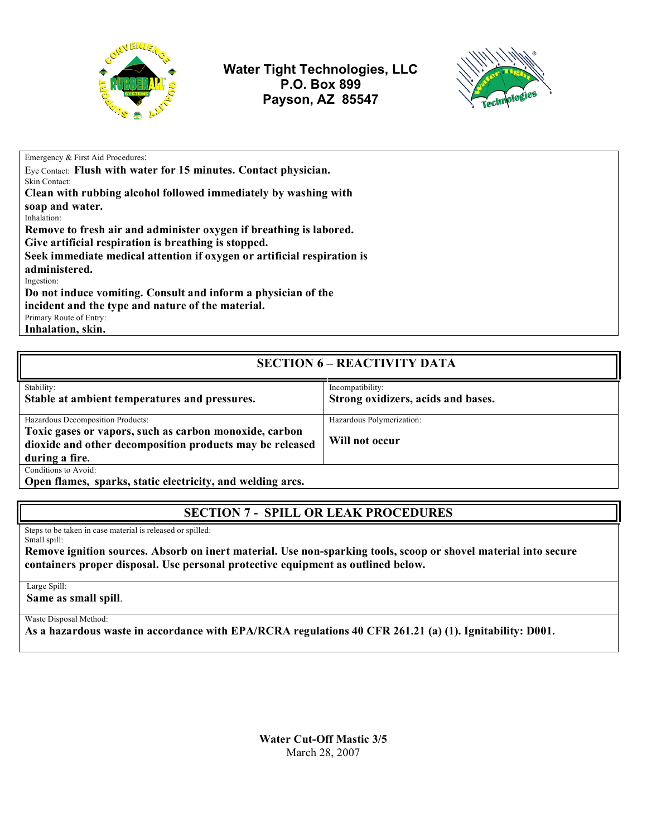

**Water Tight Technologies, LLC P.O. Box 899 Payson, AZ 85547**



Emergency & First Aid Procedures:

Eye Contact: **Flush with water for 15 minutes. Contact physician.** Skin Contact:

**Clean with rubbing alcohol followed immediately by washing with** 

**soap and water.**  Inhalation:

**Remove to fresh air and administer oxygen if breathing is labored.** 

**Give artificial respiration is breathing is stopped.**

**Seek immediate medical attention if oxygen or artificial respiration is** 

 **administered.**

Ingestion:

**Do not induce vomiting. Consult and inform a physician of the** 

**incident and the type and nature of the material.**

Primary Route of Entry:

**Inhalation, skin.**

#### **SECTION 6 – REACTIVITY DATA** Stability: **Stable at ambient temperatures and pressures.** Incompatibility: **Strong oxidizers, acids and bases.** Hazardous Decomposition Products: **Toxic gases or vapors, such as carbon monoxide, carbon dioxide and other decomposition products may be released during a fire.** Hazardous Polymerization: **Will not occur** Conditions to Avoid: **Open flames, sparks, static electricity, and welding arcs.**

# **SECTION 7 - SPILL OR LEAK PROCEDURES**

Steps to be taken in case material is released or spilled: Small spill:

**Remove ignition sources. Absorb on inert material. Use non-sparking tools, scoop or shovel material into secure containers proper disposal. Use personal protective equipment as outlined below.**

Large Spill:

**Same as small spill**.

Waste Disposal Method:

**As a hazardous waste in accordance with EPA/RCRA regulations 40 CFR 261.21 (a) (1). Ignitability: D001.**

**Water Cut-Off Mastic 3/5** March 28, 2007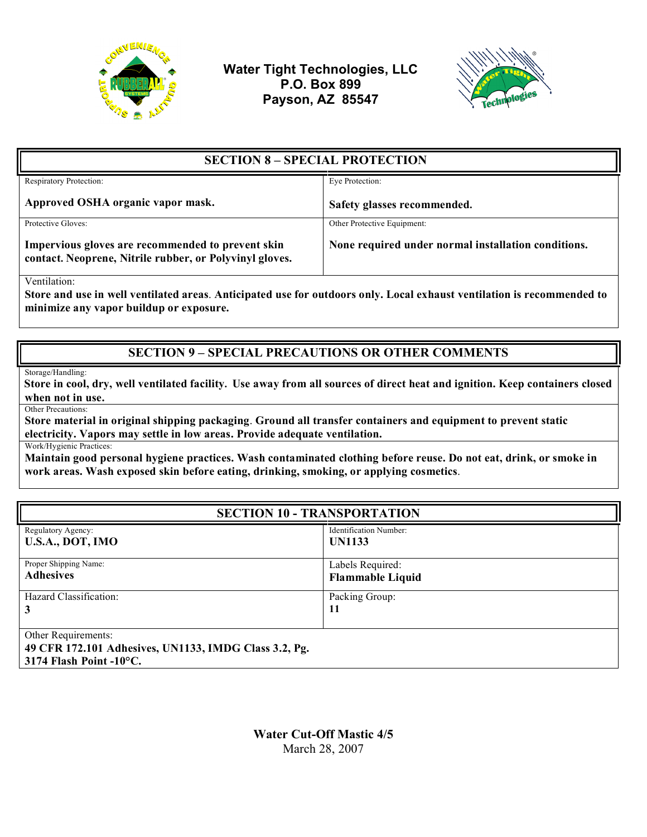

**Water Tight Technologies, LLC P.O. Box 899 Payson, AZ 85547**



| <b>SECTION 8 – SPECIAL PROTECTION</b>                                                                        |                                                     |  |
|--------------------------------------------------------------------------------------------------------------|-----------------------------------------------------|--|
| Respiratory Protection:                                                                                      | Eye Protection:                                     |  |
| Approved OSHA organic vapor mask.                                                                            | Safety glasses recommended.                         |  |
| Protective Gloves:                                                                                           | Other Protective Equipment:                         |  |
| Impervious gloves are recommended to prevent skin<br>contact. Neoprene, Nitrile rubber, or Polyvinyl gloves. | None required under normal installation conditions. |  |

Ventilation:

**Store and use in well ventilated areas**. **Anticipated use for outdoors only. Local exhaust ventilation is recommended to minimize any vapor buildup or exposure.**

### **SECTION 9 – SPECIAL PRECAUTIONS OR OTHER COMMENTS**

Storage/Handling:

 **Store in cool, dry, well ventilated facility. Use away from all sources of direct heat and ignition. Keep containers closed when not in use.**

Other Precautions:

**Store material in original shipping packaging**. **Ground all transfer containers and equipment to prevent static electricity. Vapors may settle in low areas. Provide adequate ventilation.**

Work/Hygienic Practices:

**Maintain good personal hygiene practices. Wash contaminated clothing before reuse. Do not eat, drink, or smoke in work areas. Wash exposed skin before eating, drinking, smoking, or applying cosmetics**.

| <b>SECTION 10 - TRANSPORTATION</b>                                                                                |                         |  |
|-------------------------------------------------------------------------------------------------------------------|-------------------------|--|
| Regulatory Agency:                                                                                                | Identification Number:  |  |
| U.S.A., DOT, IMO                                                                                                  | <b>UN1133</b>           |  |
| Proper Shipping Name:                                                                                             | Labels Required:        |  |
| <b>Adhesives</b>                                                                                                  | <b>Flammable Liquid</b> |  |
| Hazard Classification:                                                                                            | Packing Group:          |  |
| 3                                                                                                                 | 11                      |  |
| Other Requirements:<br>49 CFR 172.101 Adhesives, UN1133, IMDG Class 3.2, Pg.<br>3174 Flash Point $-10^{\circ}$ C. |                         |  |

**Water Cut-Off Mastic 4/5** March 28, 2007